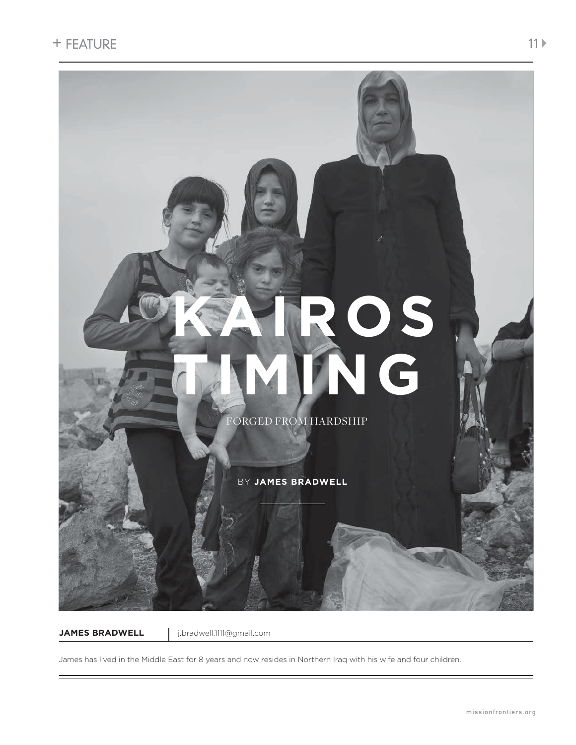

**JAMES BRADWELL** j.bradwell.1111@gmail.com

James has lived in the Middle East for 8 years and now resides in Northern Iraq with his wife and four children.